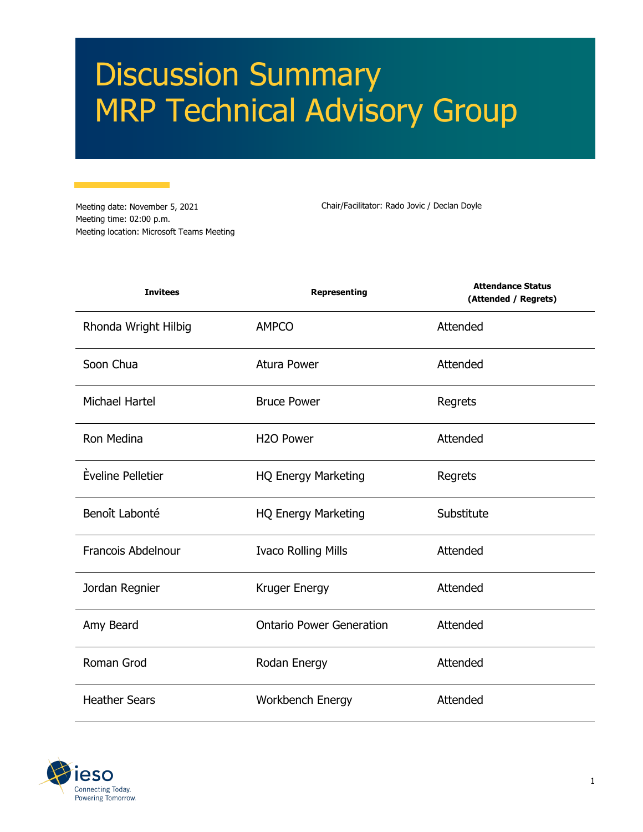# Discussion Summary MRP Technical Advisory Group

Meeting date: November 5, 2021 Meeting time: 02:00 p.m. Meeting location: Microsoft Teams Meeting

Chair/Facilitator: Rado Jovic / Declan Doyle

| <b>Invitees</b>       | <b>Representing</b>             | <b>Attendance Status</b><br>(Attended / Regrets) |
|-----------------------|---------------------------------|--------------------------------------------------|
| Rhonda Wright Hilbig  | <b>AMPCO</b>                    | Attended                                         |
| Soon Chua             | <b>Atura Power</b>              | Attended                                         |
| <b>Michael Hartel</b> | <b>Bruce Power</b>              | Regrets                                          |
| Ron Medina            | H <sub>2</sub> O Power          | Attended                                         |
| Èveline Pelletier     | <b>HQ Energy Marketing</b>      | Regrets                                          |
| Benoît Labonté        | <b>HQ Energy Marketing</b>      | Substitute                                       |
| Francois Abdelnour    | <b>Ivaco Rolling Mills</b>      | Attended                                         |
| Jordan Regnier        | Kruger Energy                   | Attended                                         |
| Amy Beard             | <b>Ontario Power Generation</b> | Attended                                         |
| Roman Grod            | Rodan Energy                    | Attended                                         |
| <b>Heather Sears</b>  | Workbench Energy                | Attended                                         |

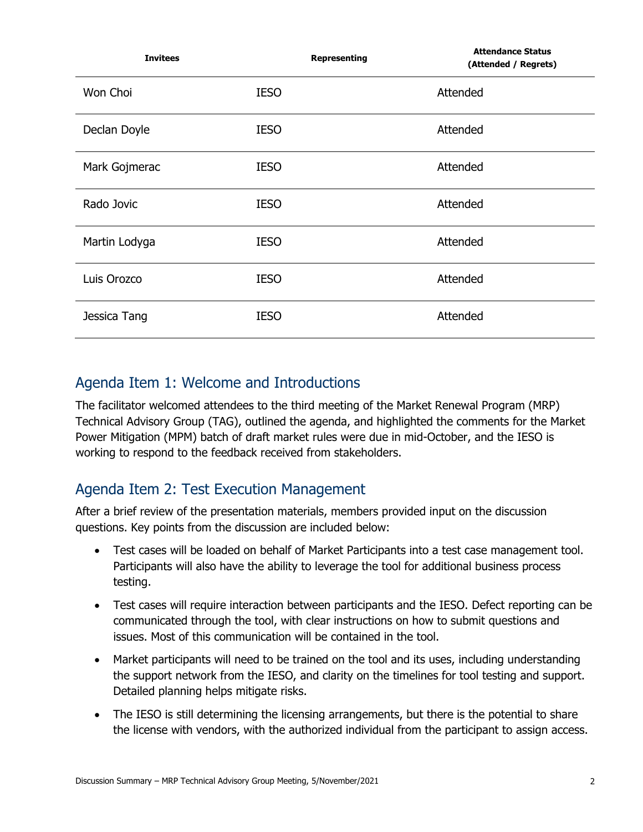| <b>Invitees</b> | <b>Representing</b> | <b>Attendance Status</b><br>(Attended / Regrets) |
|-----------------|---------------------|--------------------------------------------------|
| Won Choi        | <b>IESO</b>         | Attended                                         |
| Declan Doyle    | <b>IESO</b>         | Attended                                         |
| Mark Gojmerac   | <b>IESO</b>         | Attended                                         |
| Rado Jovic      | <b>IESO</b>         | Attended                                         |
| Martin Lodyga   | <b>IESO</b>         | Attended                                         |
| Luis Orozco     | <b>IESO</b>         | Attended                                         |
| Jessica Tang    | <b>IESO</b>         | Attended                                         |

#### Agenda Item 1: Welcome and Introductions

The facilitator welcomed attendees to the third meeting of the Market Renewal Program (MRP) Technical Advisory Group (TAG), outlined the agenda, and highlighted the comments for the Market Power Mitigation (MPM) batch of draft market rules were due in mid-October, and the IESO is working to respond to the feedback received from stakeholders.

## Agenda Item 2: Test Execution Management

After a brief review of the presentation materials, members provided input on the discussion questions. Key points from the discussion are included below:

- Test cases will be loaded on behalf of Market Participants into a test case management tool. Participants will also have the ability to leverage the tool for additional business process testing.
- Test cases will require interaction between participants and the IESO. Defect reporting can be communicated through the tool, with clear instructions on how to submit questions and issues. Most of this communication will be contained in the tool.
- Market participants will need to be trained on the tool and its uses, including understanding the support network from the IESO, and clarity on the timelines for tool testing and support. Detailed planning helps mitigate risks.
- The IESO is still determining the licensing arrangements, but there is the potential to share the license with vendors, with the authorized individual from the participant to assign access.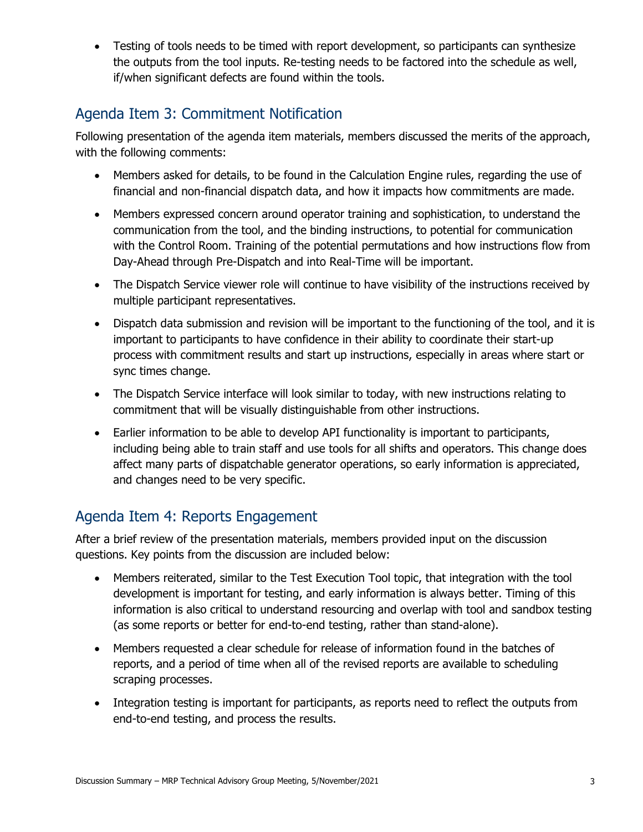• Testing of tools needs to be timed with report development, so participants can synthesize the outputs from the tool inputs. Re-testing needs to be factored into the schedule as well, if/when significant defects are found within the tools.

## Agenda Item 3: Commitment Notification

Following presentation of the agenda item materials, members discussed the merits of the approach, with the following comments:

- Members asked for details, to be found in the Calculation Engine rules, regarding the use of financial and non-financial dispatch data, and how it impacts how commitments are made.
- Members expressed concern around operator training and sophistication, to understand the communication from the tool, and the binding instructions, to potential for communication with the Control Room. Training of the potential permutations and how instructions flow from Day-Ahead through Pre-Dispatch and into Real-Time will be important.
- The Dispatch Service viewer role will continue to have visibility of the instructions received by multiple participant representatives.
- Dispatch data submission and revision will be important to the functioning of the tool, and it is important to participants to have confidence in their ability to coordinate their start-up process with commitment results and start up instructions, especially in areas where start or sync times change.
- The Dispatch Service interface will look similar to today, with new instructions relating to commitment that will be visually distinguishable from other instructions.
- Earlier information to be able to develop API functionality is important to participants, including being able to train staff and use tools for all shifts and operators. This change does affect many parts of dispatchable generator operations, so early information is appreciated, and changes need to be very specific.

## Agenda Item 4: Reports Engagement

After a brief review of the presentation materials, members provided input on the discussion questions. Key points from the discussion are included below:

- Members reiterated, similar to the Test Execution Tool topic, that integration with the tool development is important for testing, and early information is always better. Timing of this information is also critical to understand resourcing and overlap with tool and sandbox testing (as some reports or better for end-to-end testing, rather than stand-alone).
- Members requested a clear schedule for release of information found in the batches of reports, and a period of time when all of the revised reports are available to scheduling scraping processes.
- Integration testing is important for participants, as reports need to reflect the outputs from end-to-end testing, and process the results.